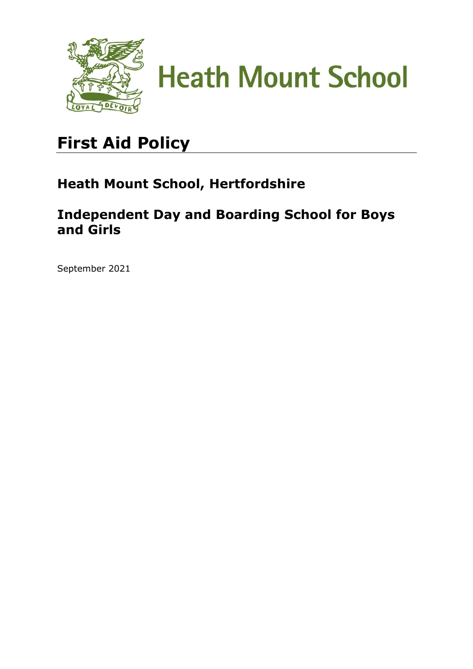



# **First Aid Policy**

## **Heath Mount School, Hertfordshire**

### **Independent Day and Boarding School for Boys and Girls**

September 2021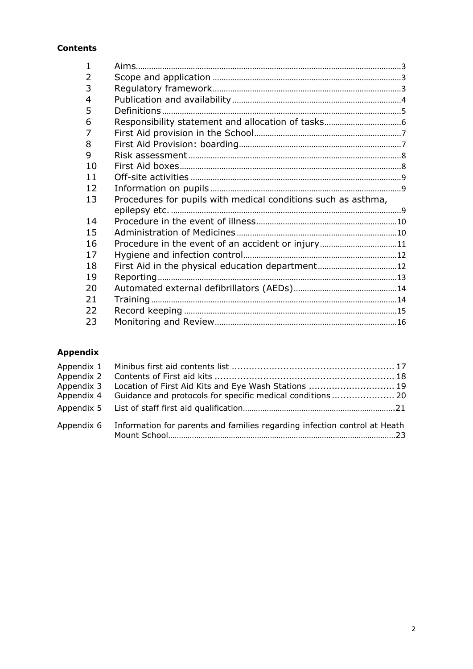#### **Contents**

| 1              |                                                               |  |
|----------------|---------------------------------------------------------------|--|
| $\overline{2}$ |                                                               |  |
| 3              |                                                               |  |
| $\overline{4}$ |                                                               |  |
| 5              |                                                               |  |
| 6              |                                                               |  |
| 7              |                                                               |  |
| 8              |                                                               |  |
| 9              |                                                               |  |
| 10             |                                                               |  |
| 11             |                                                               |  |
| 12             |                                                               |  |
| 13             | Procedures for pupils with medical conditions such as asthma, |  |
|                |                                                               |  |
| 14             |                                                               |  |
| 15             |                                                               |  |
| 16             | Procedure in the event of an accident or injury11             |  |
| 17             |                                                               |  |
| 18             |                                                               |  |
| 19             |                                                               |  |
| 20             |                                                               |  |
| 21             |                                                               |  |
| 22             |                                                               |  |
| 23             |                                                               |  |

#### **Appendix**

| Appendix 3 Location of First Aid Kits and Eye Wash Stations  19                      |  |
|--------------------------------------------------------------------------------------|--|
| Appendix 4 Guidance and protocols for specific medical conditions 20                 |  |
|                                                                                      |  |
| Appendix 6 Information for parents and families regarding infection control at Heath |  |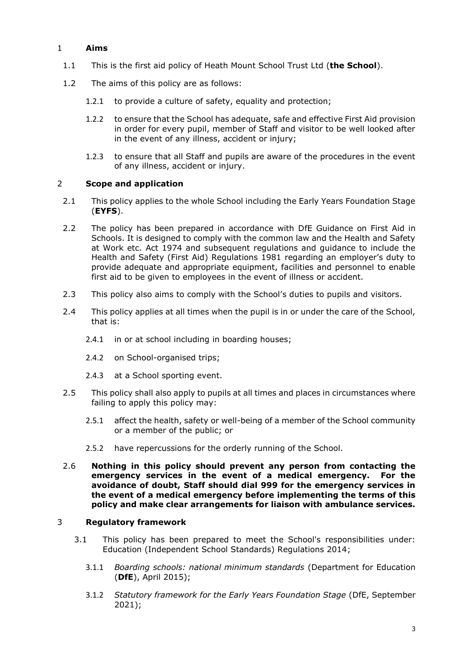#### <span id="page-2-0"></span>1 **Aims**

- 1.1 This is the first aid policy of Heath Mount School Trust Ltd (**the School**).
- 1.2 The aims of this policy are as follows:
	- 1.2.1 to provide a culture of safety, equality and protection;
	- 1.2.2 to ensure that the School has adequate, safe and effective First Aid provision in order for every pupil, member of Staff and visitor to be well looked after in the event of any illness, accident or injury;
	- 1.2.3 to ensure that all Staff and pupils are aware of the procedures in the event of any illness, accident or injury.

#### <span id="page-2-1"></span>2 **Scope and application**

- 2.1 This policy applies to the whole School including the Early Years Foundation Stage (**EYFS**).
- 2.2 The policy has been prepared in accordance with DfE Guidance on First Aid in Schools. It is designed to comply with the common law and the Health and Safety at Work etc. Act 1974 and subsequent regulations and guidance to include the Health and Safety (First Aid) Regulations 1981 regarding an employer's duty to provide adequate and appropriate equipment, facilities and personnel to enable first aid to be given to employees in the event of illness or accident.
- 2.3 This policy also aims to comply with the School's duties to pupils and visitors.
- 2.4 This policy applies at all times when the pupil is in or under the care of the School, that is:
	- 2.4.1 in or at school including in boarding houses;
	- 2.4.2 on School-organised trips;
	- 2.4.3 at a School sporting event.
- 2.5 This policy shall also apply to pupils at all times and places in circumstances where failing to apply this policy may:
	- 2.5.1 affect the health, safety or well-being of a member of the School community or a member of the public; or
	- 2.5.2 have repercussions for the orderly running of the School.
- 2.6 **Nothing in this policy should prevent any person from contacting the emergency services in the event of a medical emergency. For the avoidance of doubt, Staff should dial 999 for the emergency services in the event of a medical emergency before implementing the terms of this policy and make clear arrangements for liaison with ambulance services.**

#### <span id="page-2-2"></span>3 **Regulatory framework**

- 3.1 This policy has been prepared to meet the School's responsibilities under: Education (Independent School Standards) Regulations 2014;
	- 3.1.1 *Boarding schools: national minimum standards* (Department for Education (**DfE**), April 2015);
	- 3.1.2 *Statutory framework for the Early Years Foundation Stage* (DfE, September 2021);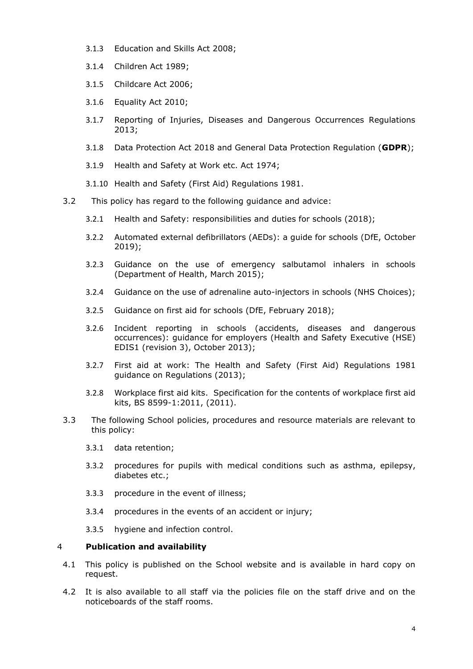- 3.1.3 Education and Skills Act 2008;
- 3.1.4 Children Act 1989;
- 3.1.5 Childcare Act 2006;
- 3.1.6 Equality Act 2010;
- 3.1.7 Reporting of Injuries, Diseases and Dangerous Occurrences Regulations 2013;
- 3.1.8 Data Protection Act 2018 and General Data Protection Regulation (**GDPR**);
- 3.1.9 Health and Safety at Work etc. Act 1974;
- 3.1.10 Health and Safety (First Aid) Regulations 1981.
- <span id="page-3-1"></span>3.2 This policy has regard to the following guidance and advice:
	- 3.2.1 Health and Safety: responsibilities and duties for schools (2018);
	- 3.2.2 [Automated external defibrillators \(AEDs\): a guide for schools \(DfE, October](https://www.gov.uk/government/uploads/system/uploads/attachment_data/file/620028/AED_guide_for_schools__June_2017_.pdf)  [2019\);](https://www.gov.uk/government/uploads/system/uploads/attachment_data/file/620028/AED_guide_for_schools__June_2017_.pdf)
	- 3.2.3 [Guidance on the use of emergency salbutamol inhalers in schools](https://www.gov.uk/government/uploads/system/uploads/attachment_data/file/416468/emergency_inhalers_in_schools.pdf)  [\(Department of Health, March 2015\);](https://www.gov.uk/government/uploads/system/uploads/attachment_data/file/416468/emergency_inhalers_in_schools.pdf)
	- 3.2.4 [Guidance on the use of adrenaline auto-injectors in schools \(NHS Choices\);](http://www.nhs.uk/conditions/Anaphylaxis/Pages/Introduction.aspx)
	- 3.2.5 [Guidance on first aid for schools \(DfE, February 2018\);](https://www.gov.uk/government/uploads/system/uploads/attachment_data/file/306370/guidance_on_first_aid_for_schools.pdf)
	- 3.2.6 [Incident reporting in schools \(accidents, diseases and dangerous](http://www.hse.gov.uk/pubns/edis1.pdf)  [occurrences\): guidance for employers \(Health and Safety Executive \(HSE\)](http://www.hse.gov.uk/pubns/edis1.pdf)  [EDIS1 \(revision 3\), October 2013\);](http://www.hse.gov.uk/pubns/edis1.pdf)
	- 3.2.7 First aid at work: The [Health and Safety \(First Aid\) Regulations 1981](http://www.hse.gov.uk/pubns/priced/l74.pdf)  [guidance on Regulations \(2013\);](http://www.hse.gov.uk/pubns/priced/l74.pdf)
	- 3.2.8 Workplace first aid kits. Specification for the contents of workplace first aid kits, BS 8599-1:2011, (2011).
- 3.3 The following School policies, procedures and resource materials are relevant to this policy:
	- 3.3.1 data retention;
	- 3.3.2 procedures for pupils with medical conditions such as asthma, epilepsy, diabetes etc.;
	- 3.3.3 procedure in the event of illness;
	- 3.3.4 procedures in the events of an accident or injury;
	- 3.3.5 hygiene and infection control.

#### <span id="page-3-0"></span>4 **Publication and availability**

- 4.1 This policy is published on the School website and is available in hard copy on request.
- 4.2 It is also available to all staff via the policies file on the staff drive and on the noticeboards of the staff rooms.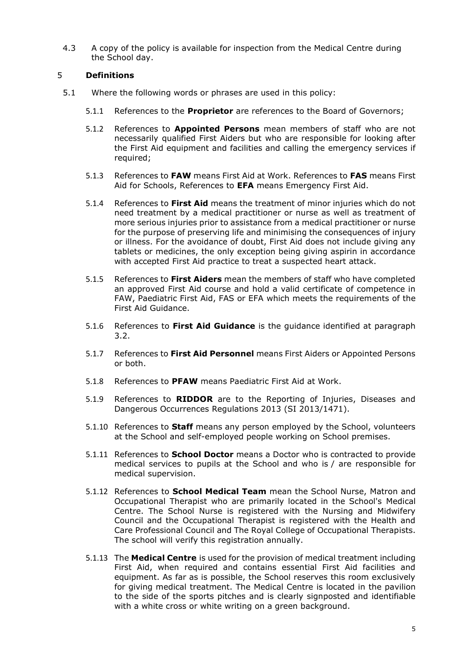4.3 A copy of the policy is available for inspection from the Medical Centre during the School day.

#### <span id="page-4-0"></span>5 **Definitions**

- 5.1 Where the following words or phrases are used in this policy:
	- 5.1.1 References to the **Proprietor** are references to the Board of Governors;
	- 5.1.2 References to **Appointed Persons** mean members of staff who are not necessarily qualified First Aiders but who are responsible for looking after the First Aid equipment and facilities and calling the emergency services if required;
	- 5.1.3 References to **FAW** means First Aid at Work. References to **FAS** means First Aid for Schools, References to **EFA** means Emergency First Aid.
	- 5.1.4 References to **First Aid** means the treatment of minor injuries which do not need treatment by a medical practitioner or nurse as well as treatment of more serious injuries prior to assistance from a medical practitioner or nurse for the purpose of preserving life and minimising the consequences of injury or illness. For the avoidance of doubt, First Aid does not include giving any tablets or medicines, the only exception being giving aspirin in accordance with accepted First Aid practice to treat a suspected heart attack.
	- 5.1.5 References to **First Aiders** mean the members of staff who have completed an approved First Aid course and hold a valid certificate of competence in FAW, Paediatric First Aid, FAS or EFA which meets the requirements of the First Aid Guidance.
	- 5.1.6 References to **First Aid Guidance** is the guidance identified at paragraph [3.2.](#page-3-1)
	- 5.1.7 References to **First Aid Personnel** means First Aiders or Appointed Persons or both.
	- 5.1.8 References to **PFAW** means Paediatric First Aid at Work.
	- 5.1.9 References to **RIDDOR** are to the Reporting of Injuries, Diseases and Dangerous Occurrences Regulations 2013 (SI 2013/1471).
	- 5.1.10 References to **Staff** means any person employed by the School, volunteers at the School and self-employed people working on School premises.
	- 5.1.11 References to **School Doctor** means a Doctor who is contracted to provide medical services to pupils at the School and who is / are responsible for medical supervision.
	- 5.1.12 References to **School Medical Team** mean the School Nurse, Matron and Occupational Therapist who are primarily located in the School's Medical Centre. The School Nurse is registered with the Nursing and Midwifery Council and the Occupational Therapist is registered with the Health and Care Professional Council and The Royal College of Occupational Therapists. The school will verify this registration annually.
	- 5.1.13 The **Medical Centre** is used for the provision of medical treatment including First Aid, when required and contains essential First Aid facilities and equipment. As far as is possible, the School reserves this room exclusively for giving medical treatment. The Medical Centre is located in the pavilion to the side of the sports pitches and is clearly signposted and identifiable with a white cross or white writing on a green background.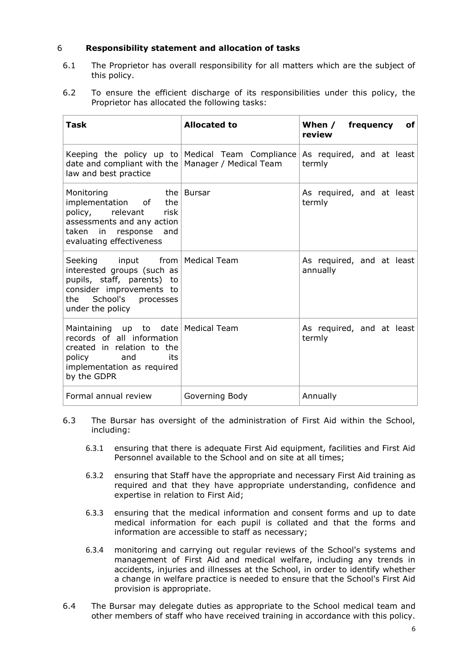#### <span id="page-5-0"></span>6 **Responsibility statement and allocation of tasks**

- 6.1 The Proprietor has overall responsibility for all matters which are the subject of this policy.
- 6.2 To ensure the efficient discharge of its responsibilities under this policy, the Proprietor has allocated the following tasks:

| Task                                                                                                                                                                    | <b>Allocated to</b>                                                        | frequency<br>When /<br>оf<br>review   |
|-------------------------------------------------------------------------------------------------------------------------------------------------------------------------|----------------------------------------------------------------------------|---------------------------------------|
| date and compliant with the   Manager / Medical Team<br>law and best practice                                                                                           | Keeping the policy up to Medical Team Compliance As required, and at least | termly                                |
| Monitoring<br>the   Bursar<br>implementation of the<br>policy, relevant<br>risk<br>assessments and any action<br>taken in response and<br>evaluating effectiveness      |                                                                            | As required, and at least<br>termly   |
| Seeking input from   Medical Team<br>interested groups (such as<br>pupils, staff, parents) to<br>consider improvements to<br>the School's processes<br>under the policy |                                                                            | As required, and at least<br>annually |
| Maintaining up to date Medical Team<br>records of all information<br>created in relation to the<br>policy and<br>its<br>implementation as required<br>by the GDPR       |                                                                            | As required, and at least<br>termly   |
| Formal annual review                                                                                                                                                    | Governing Body                                                             | Annually                              |

- 6.3 The Bursar has oversight of the administration of First Aid within the School, including:
	- 6.3.1 ensuring that there is adequate First Aid equipment, facilities and First Aid Personnel available to the School and on site at all times;
	- 6.3.2 ensuring that Staff have the appropriate and necessary First Aid training as required and that they have appropriate understanding, confidence and expertise in relation to First Aid;
	- 6.3.3 ensuring that the medical information and consent forms and up to date medical information for each pupil is collated and that the forms and information are accessible to staff as necessary;
	- 6.3.4 monitoring and carrying out regular reviews of the School's systems and management of First Aid and medical welfare, including any trends in accidents, injuries and illnesses at the School, in order to identify whether a change in welfare practice is needed to ensure that the School's First Aid provision is appropriate.
- 6.4 The Bursar may delegate duties as appropriate to the School medical team and other members of staff who have received training in accordance with this policy.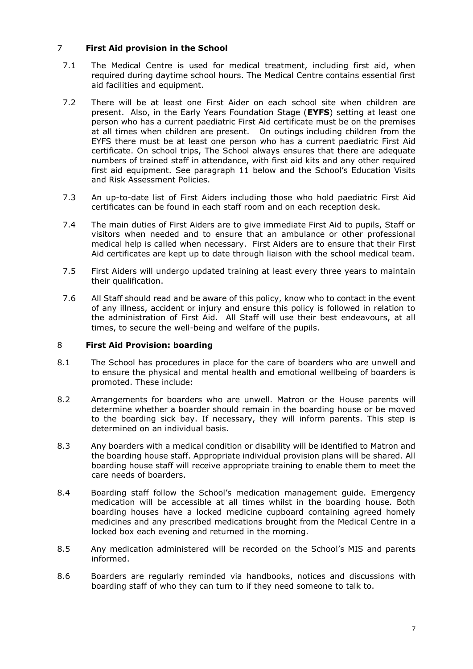#### <span id="page-6-0"></span>7 **First Aid provision in the School**

- 7.1 The Medical Centre is used for medical treatment, including first aid, when required during daytime school hours. The Medical Centre contains essential first aid facilities and equipment.
- 7.2 There will be at least one First Aider on each school site when children are present. Also, in the Early Years Foundation Stage (**EYFS**) setting at least one person who has a current paediatric First Aid certificate must be on the premises at all times when children are present. On outings including children from the EYFS there must be at least one person who has a current paediatric First Aid certificate. On school trips, The School always ensures that there are adequate numbers of trained staff in attendance, with first aid kits and any other required first aid equipment. See paragraph 11 below and the School's Education Visits and Risk Assessment Policies.
- 7.3 An up-to-date list of First Aiders including those who hold paediatric First Aid certificates can be found in each staff room and on each reception desk.
- 7.4 The main duties of First Aiders are to give immediate First Aid to pupils, Staff or visitors when needed and to ensure that an ambulance or other professional medical help is called when necessary. First Aiders are to ensure that their First Aid certificates are kept up to date through liaison with the school medical team.
- 7.5 First Aiders will undergo updated training at least every three years to maintain their qualification.
- 7.6 All Staff should read and be aware of this policy, know who to contact in the event of any illness, accident or injury and ensure this policy is followed in relation to the administration of First Aid. All Staff will use their best endeavours, at all times, to secure the well-being and welfare of the pupils.

#### <span id="page-6-1"></span>8 **First Aid Provision: boarding**

- 8.1 The School has procedures in place for the care of boarders who are unwell and to ensure the physical and mental health and emotional wellbeing of boarders is promoted. These include:
- 8.2 Arrangements for boarders who are unwell. Matron or the House parents will determine whether a boarder should remain in the boarding house or be moved to the boarding sick bay. If necessary, they will inform parents. This step is determined on an individual basis.
- 8.3 Any boarders with a medical condition or disability will be identified to Matron and the boarding house staff. Appropriate individual provision plans will be shared. All boarding house staff will receive appropriate training to enable them to meet the care needs of boarders.
- 8.4 Boarding staff follow the School's medication management guide. Emergency medication will be accessible at all times whilst in the boarding house. Both boarding houses have a locked medicine cupboard containing agreed homely medicines and any prescribed medications brought from the Medical Centre in a locked box each evening and returned in the morning.
- 8.5 Any medication administered will be recorded on the School's MIS and parents informed.
- 8.6 Boarders are regularly reminded via handbooks, notices and discussions with boarding staff of who they can turn to if they need someone to talk to.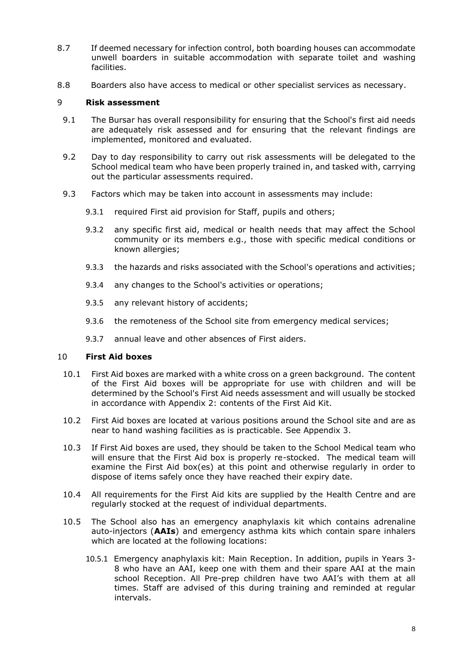- 8.7 If deemed necessary for infection control, both boarding houses can accommodate unwell boarders in suitable accommodation with separate toilet and washing facilities.
- 8.8 Boarders also have access to medical or other specialist services as necessary.

#### <span id="page-7-0"></span>9 **Risk assessment**

- 9.1 The Bursar has overall responsibility for ensuring that the School's first aid needs are adequately risk assessed and for ensuring that the relevant findings are implemented, monitored and evaluated.
- 9.2 Day to day responsibility to carry out risk assessments will be delegated to the School medical team who have been properly trained in, and tasked with, carrying out the particular assessments required.
- 9.3 Factors which may be taken into account in assessments may include:
	- 9.3.1 required First aid provision for Staff, pupils and others;
	- 9.3.2 any specific first aid, medical or health needs that may affect the School community or its members e.g., those with specific medical conditions or known allergies;
	- 9.3.3 the hazards and risks associated with the School's operations and activities;
	- 9.3.4 any changes to the School's activities or operations;
	- 9.3.5 any relevant history of accidents;
	- 9.3.6 the remoteness of the School site from emergency medical services;
	- 9.3.7 annual leave and other absences of First aiders.

#### <span id="page-7-1"></span>10 **First Aid boxes**

- 10.1 First Aid boxes are marked with a white cross on a green background. The content of the First Aid boxes will be appropriate for use with children and will be determined by the School's First Aid needs assessment and will usually be stocked in accordance with [Appendix 2:](#page-17-0) contents of the First Aid Kit.
- 10.2 First Aid boxes are located at various positions around the School site and are as near to hand washing facilities as is practicable. See [Appendix 3.](#page-18-0)
- 10.3 If First Aid boxes are used, they should be taken to the School Medical team who will ensure that the First Aid box is properly re-stocked. The medical team will examine the First Aid box(es) at this point and otherwise regularly in order to dispose of items safely once they have reached their expiry date.
- 10.4 All requirements for the First Aid kits are supplied by the Health Centre and are regularly stocked at the request of individual departments.
- 10.5 The School also has an emergency anaphylaxis kit which contains adrenaline auto-injectors (**AAIs**) and emergency asthma kits which contain spare inhalers which are located at the following locations:
	- 10.5.1 Emergency anaphylaxis kit: Main Reception. In addition, pupils in Years 3- 8 who have an AAI, keep one with them and their spare AAI at the main school Reception. All Pre-prep children have two AAI's with them at all times. Staff are advised of this during training and reminded at regular intervals.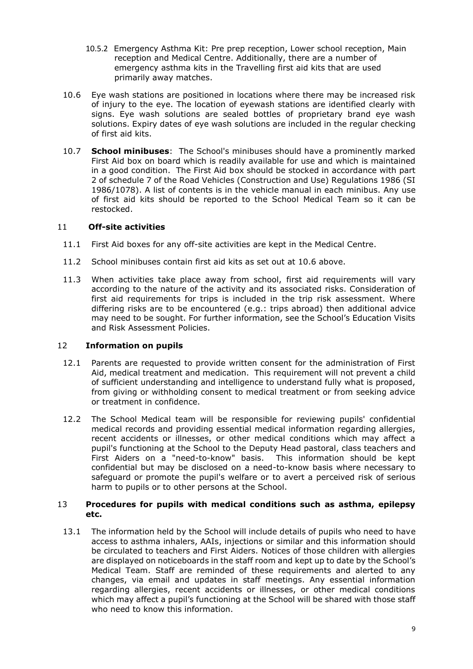- 10.5.2 Emergency Asthma Kit: Pre prep reception, Lower school reception, Main reception and Medical Centre. Additionally, there are a number of emergency asthma kits in the Travelling first aid kits that are used primarily away matches.
- 10.6 Eye wash stations are positioned in locations where there may be increased risk of injury to the eye. The location of eyewash stations are identified clearly with signs. Eye wash solutions are sealed bottles of proprietary brand eye wash solutions. Expiry dates of eye wash solutions are included in the regular checking of first aid kits.
- 10.7 **School minibuses**: The School's minibuses should have a prominently marked First Aid box on board which is readily available for use and which is maintained in a good condition. The First Aid box should be stocked in accordance with part 2 of schedule 7 of the Road Vehicles (Construction and Use) Regulations 1986 (SI 1986/1078). A list of contents is in the vehicle manual in each minibus. Any use of first aid kits should be reported to the School Medical Team so it can be restocked.

#### <span id="page-8-0"></span>11 **Off-site activities**

- 11.1 First Aid boxes for any off-site activities are kept in the Medical Centre.
- 11.2 School minibuses contain first aid kits as set out at 10.6 above.
- 11.3 When activities take place away from school, first aid requirements will vary according to the nature of the activity and its associated risks. Consideration of first aid requirements for trips is included in the trip risk assessment. Where differing risks are to be encountered (e.g.: trips abroad) then additional advice may need to be sought. For further information, see the School's Education Visits and Risk Assessment Policies.

#### <span id="page-8-1"></span>12 **Information on pupils**

- 12.1 Parents are requested to provide written consent for the administration of First Aid, medical treatment and medication. This requirement will not prevent a child of sufficient understanding and intelligence to understand fully what is proposed, from giving or withholding consent to medical treatment or from seeking advice or treatment in confidence.
- 12.2 The School Medical team will be responsible for reviewing pupils' confidential medical records and providing essential medical information regarding allergies, recent accidents or illnesses, or other medical conditions which may affect a pupil's functioning at the School to the Deputy Head pastoral, class teachers and First Aiders on a "need-to-know" basis. This information should be kept confidential but may be disclosed on a need-to-know basis where necessary to safeguard or promote the pupil's welfare or to avert a perceived risk of serious harm to pupils or to other persons at the School.

#### <span id="page-8-2"></span>13 **Procedures for pupils with medical conditions such as asthma, epilepsy etc.**

13.1 The information held by the School will include details of pupils who need to have access to asthma inhalers, AAIs, injections or similar and this information should be circulated to teachers and First Aiders. Notices of those children with allergies are displayed on noticeboards in the staff room and kept up to date by the School's Medical Team. Staff are reminded of these requirements and alerted to any changes, via email and updates in staff meetings. Any essential information regarding allergies, recent accidents or illnesses, or other medical conditions which may affect a pupil's functioning at the School will be shared with those staff who need to know this information.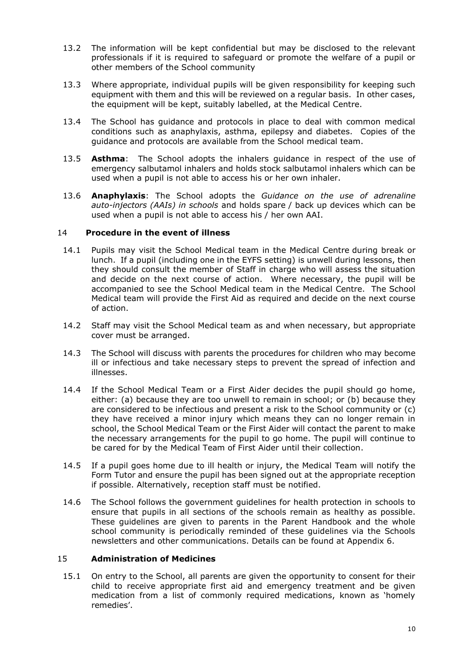- 13.2 The information will be kept confidential but may be disclosed to the relevant professionals if it is required to safeguard or promote the welfare of a pupil or other members of the School community
- 13.3 Where appropriate, individual pupils will be given responsibility for keeping such equipment with them and this will be reviewed on a regular basis. In other cases, the equipment will be kept, suitably labelled, at the Medical Centre.
- 13.4 The School has guidance and protocols in place to deal with common medical conditions such as anaphylaxis, asthma, epilepsy and diabetes. Copies of the guidance and protocols are available from the School medical team.
- 13.5 **Asthma**: The School adopts the inhalers guidance in respect of the use of emergency salbutamol inhalers and holds stock salbutamol inhalers which can be used when a pupil is not able to access his or her own inhaler.
- 13.6 **Anaphylaxis**: The School adopts the *Guidance on the use of adrenaline auto-injectors (AAIs) in schools* and holds spare / back up devices which can be used when a pupil is not able to access his / her own AAI.

#### <span id="page-9-0"></span>14 **Procedure in the event of illness**

- 14.1 Pupils may visit the School Medical team in the Medical Centre during break or lunch. If a pupil (including one in the EYFS setting) is unwell during lessons, then they should consult the member of Staff in charge who will assess the situation and decide on the next course of action. Where necessary, the pupil will be accompanied to see the School Medical team in the Medical Centre. The School Medical team will provide the First Aid as required and decide on the next course of action.
- 14.2 Staff may visit the School Medical team as and when necessary, but appropriate cover must be arranged.
- 14.3 The School will discuss with parents the procedures for children who may become ill or infectious and take necessary steps to prevent the spread of infection and illnesses.
- 14.4 If the School Medical Team or a First Aider decides the pupil should go home, either: (a) because they are too unwell to remain in school; or (b) because they are considered to be infectious and present a risk to the School community or (c) they have received a minor injury which means they can no longer remain in school, the School Medical Team or the First Aider will contact the parent to make the necessary arrangements for the pupil to go home. The pupil will continue to be cared for by the Medical Team of First Aider until their collection.
- 14.5 If a pupil goes home due to ill health or injury, the Medical Team will notify the Form Tutor and ensure the pupil has been signed out at the appropriate reception if possible. Alternatively, reception staff must be notified.
- 14.6 The School follows the government guidelines for health protection in schools to ensure that pupils in all sections of the schools remain as healthy as possible. These guidelines are given to parents in the Parent Handbook and the whole school community is periodically reminded of these guidelines via the Schools newsletters and other communications. Details can be found at Appendix 6.

#### <span id="page-9-1"></span>15 **Administration of Medicines**

15.1 On entry to the School, all parents are given the opportunity to consent for their child to receive appropriate first aid and emergency treatment and be given medication from a list of commonly required medications, known as 'homely remedies'.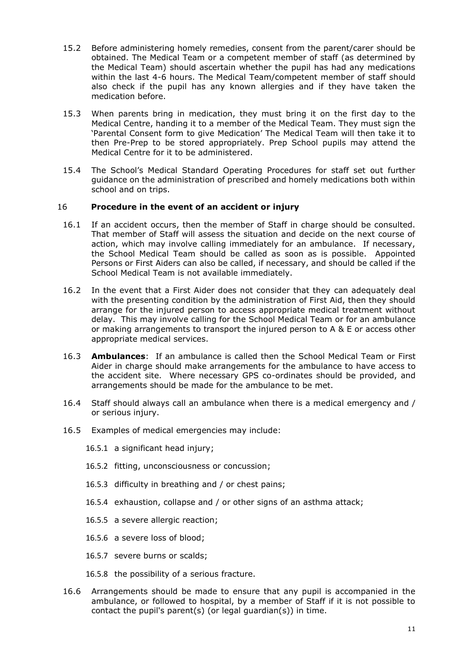- 15.2 Before administering homely remedies, consent from the parent/carer should be obtained. The Medical Team or a competent member of staff (as determined by the Medical Team) should ascertain whether the pupil has had any medications within the last 4-6 hours. The Medical Team/competent member of staff should also check if the pupil has any known allergies and if they have taken the medication before.
- 15.3 When parents bring in medication, they must bring it on the first day to the Medical Centre, handing it to a member of the Medical Team. They must sign the 'Parental Consent form to give Medication' The Medical Team will then take it to then Pre-Prep to be stored appropriately. Prep School pupils may attend the Medical Centre for it to be administered.
- 15.4 The School's Medical Standard Operating Procedures for staff set out further guidance on the administration of prescribed and homely medications both within school and on trips.

#### 16 **Procedure in the event of an accident or injury**

- <span id="page-10-0"></span>16.1 If an accident occurs, then the member of Staff in charge should be consulted. That member of Staff will assess the situation and decide on the next course of action, which may involve calling immediately for an ambulance. If necessary, the School Medical Team should be called as soon as is possible. Appointed Persons or First Aiders can also be called, if necessary, and should be called if the School Medical Team is not available immediately.
- 16.2 In the event that a First Aider does not consider that they can adequately deal with the presenting condition by the administration of First Aid, then they should arrange for the injured person to access appropriate medical treatment without delay. This may involve calling for the School Medical Team or for an ambulance or making arrangements to transport the injured person to A & E or access other appropriate medical services.
- 16.3 **Ambulances**: If an ambulance is called then the School Medical Team or First Aider in charge should make arrangements for the ambulance to have access to the accident site. Where necessary GPS co-ordinates should be provided, and arrangements should be made for the ambulance to be met.
- 16.4 Staff should always call an ambulance when there is a medical emergency and / or serious injury.
- 16.5 Examples of medical emergencies may include:
	- 16.5.1 a significant head injury;
	- 16.5.2 fitting, unconsciousness or concussion;
	- 16.5.3 difficulty in breathing and / or chest pains;
	- 16.5.4 exhaustion, collapse and / or other signs of an asthma attack;
	- 16.5.5 a severe allergic reaction;
	- 16.5.6 a severe loss of blood;
	- 16.5.7 severe burns or scalds;
	- 16.5.8 the possibility of a serious fracture.
- 16.6 Arrangements should be made to ensure that any pupil is accompanied in the ambulance, or followed to hospital, by a member of Staff if it is not possible to contact the pupil's parent(s) (or legal guardian(s)) in time.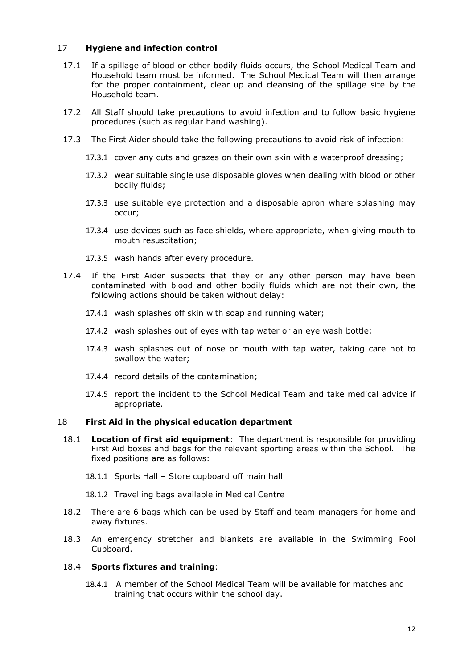#### <span id="page-11-0"></span>17 **Hygiene and infection control**

- 17.1 If a spillage of blood or other bodily fluids occurs, the School Medical Team and Household team must be informed. The School Medical Team will then arrange for the proper containment, clear up and cleansing of the spillage site by the Household team.
- 17.2 All Staff should take precautions to avoid infection and to follow basic hygiene procedures (such as regular hand washing).
- 17.3 The First Aider should take the following precautions to avoid risk of infection:
	- 17.3.1 cover any cuts and grazes on their own skin with a waterproof dressing;
	- 17.3.2 wear suitable single use disposable gloves when dealing with blood or other bodily fluids;
	- 17.3.3 use suitable eye protection and a disposable apron where splashing may occur;
	- 17.3.4 use devices such as face shields, where appropriate, when giving mouth to mouth resuscitation;
	- 17.3.5 wash hands after every procedure.
- 17.4 If the First Aider suspects that they or any other person may have been contaminated with blood and other bodily fluids which are not their own, the following actions should be taken without delay:
	- 17.4.1 wash splashes off skin with soap and running water;
	- 17.4.2 wash splashes out of eyes with tap water or an eye wash bottle;
	- 17.4.3 wash splashes out of nose or mouth with tap water, taking care not to swallow the water;
	- 17.4.4 record details of the contamination;
	- 17.4.5 report the incident to the School Medical Team and take medical advice if appropriate.

#### <span id="page-11-1"></span>18 **First Aid in the physical education department**

- 18.1 **Location of first aid equipment**: The department is responsible for providing First Aid boxes and bags for the relevant sporting areas within the School. The fixed positions are as follows:
	- 18.1.1 Sports Hall Store cupboard off main hall
	- 18.1.2 Travelling bags available in Medical Centre
- 18.2 There are 6 bags which can be used by Staff and team managers for home and away fixtures.
- 18.3 An emergency stretcher and blankets are available in the Swimming Pool Cupboard.

#### 18.4 **Sports fixtures and training**:

18.4.1 A member of the School Medical Team will be available for matches and training that occurs within the school day.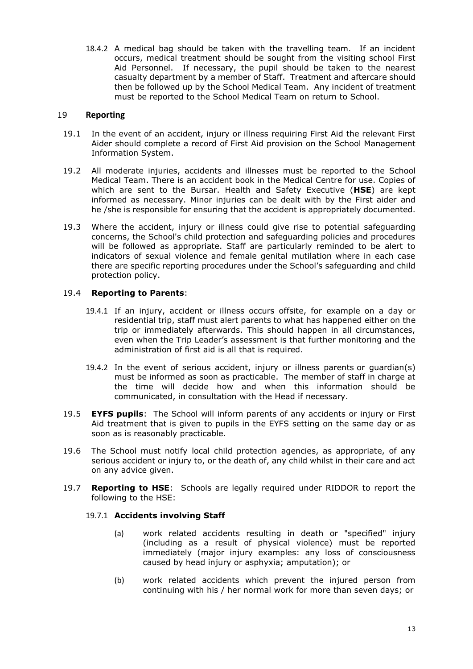18.4.2 A medical bag should be taken with the travelling team. If an incident occurs, medical treatment should be sought from the visiting school First Aid Personnel. If necessary, the pupil should be taken to the nearest casualty department by a member of Staff. Treatment and aftercare should then be followed up by the School Medical Team. Any incident of treatment must be reported to the School Medical Team on return to School.

#### <span id="page-12-0"></span>19 **Reporting**

- 19.1 In the event of an accident, injury or illness requiring First Aid the relevant First Aider should complete a record of First Aid provision on the School Management Information System.
- 19.2 All moderate injuries, accidents and illnesses must be reported to the School Medical Team. There is an accident book in the Medical Centre for use. Copies of which are sent to the Bursar. Health and Safety Executive (**HSE**) are kept informed as necessary. Minor injuries can be dealt with by the First aider and he /she is responsible for ensuring that the accident is appropriately documented.
- 19.3 Where the accident, injury or illness could give rise to potential safeguarding concerns, the School's child protection and safeguarding policies and procedures will be followed as appropriate. Staff are particularly reminded to be alert to indicators of sexual violence and female genital mutilation where in each case there are specific reporting procedures under the School's safeguarding and child protection policy.

#### 19.4 **Reporting to Parents**:

- 19.4.1 If an injury, accident or illness occurs offsite, for example on a day or residential trip, staff must alert parents to what has happened either on the trip or immediately afterwards. This should happen in all circumstances, even when the Trip Leader's assessment is that further monitoring and the administration of first aid is all that is required.
- 19.4.2 In the event of serious accident, injury or illness parents or guardian(s) must be informed as soon as practicable. The member of staff in charge at the time will decide how and when this information should be communicated, in consultation with the Head if necessary.
- 19.5 **EYFS pupils**: The School will inform parents of any accidents or injury or First Aid treatment that is given to pupils in the EYFS setting on the same day or as soon as is reasonably practicable.
- 19.6 The School must notify local child protection agencies, as appropriate, of any serious accident or injury to, or the death of, any child whilst in their care and act on any advice given.
- 19.7 **Reporting to HSE**: Schools are legally required under RIDDOR to report the following to the HSE:

#### 19.7.1 **Accidents involving Staff**

- (a) work related accidents resulting in death or "specified" injury (including as a result of physical violence) must be reported immediately (major injury examples: any loss of consciousness caused by head injury or asphyxia; amputation); or
- (b) work related accidents which prevent the injured person from continuing with his / her normal work for more than seven days; or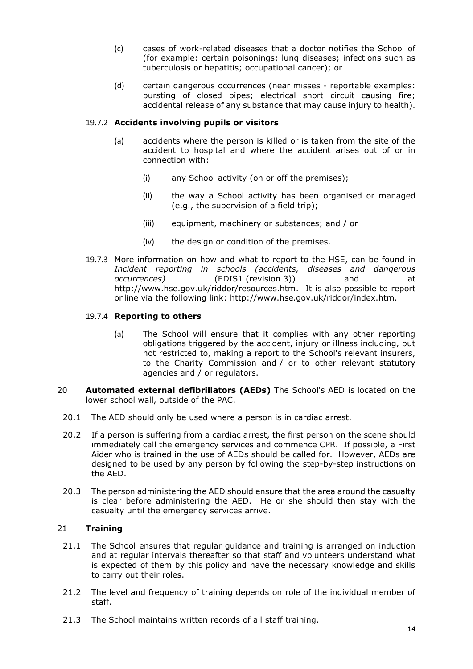- (c) cases of work-related diseases that a doctor notifies the School of (for example: certain poisonings; lung diseases; infections such as tuberculosis or hepatitis; occupational cancer); or
- (d) certain dangerous occurrences (near misses reportable examples: bursting of closed pipes; electrical short circuit causing fire; accidental release of any substance that may cause injury to health).

#### 19.7.2 **Accidents involving pupils or visitors**

- (a) accidents where the person is killed or is taken from the site of the accident to hospital and where the accident arises out of or in connection with:
	- (i) any School activity (on or off the premises);
	- (ii) the way a School activity has been organised or managed (e.g., the supervision of a field trip);
	- (iii) equipment, machinery or substances; and / or
	- (iv) the design or condition of the premises.
- 19.7.3 More information on how and what to report to the HSE, can be found in *Incident reporting in schools (accidents, diseases and dangerous occurrences)* (EDIS1 (revision 3)) and at [http://www.hse.gov.uk/riddor/resources.htm.](http://www.hse.gov.uk/riddor/resources.htm) It is also possible to report online via the following link: [http://www.hse.gov.uk/riddor/index.htm.](http://www.hse.gov.uk/riddor/index.htm)

#### 19.7.4 **Reporting to others**

- (a) The School will ensure that it complies with any other reporting obligations triggered by the accident, injury or illness including, but not restricted to, making a report to the School's relevant insurers, to the Charity Commission and / or to other relevant statutory agencies and / or regulators.
- <span id="page-13-0"></span>20 **Automated external defibrillators (AEDs)** The School's AED is located on the lower school wall, outside of the PAC.
	- 20.1 The AED should only be used where a person is in cardiac arrest.
	- 20.2 If a person is suffering from a cardiac arrest, the first person on the scene should immediately call the emergency services and commence CPR. If possible, a First Aider who is trained in the use of AEDs should be called for. However, AEDs are designed to be used by any person by following the step-by-step instructions on the AED.
	- 20.3 The person administering the AED should ensure that the area around the casualty is clear before administering the AED. He or she should then stay with the casualty until the emergency services arrive.

#### <span id="page-13-1"></span>21 **Training**

- 21.1 The School ensures that regular guidance and training is arranged on induction and at regular intervals thereafter so that staff and volunteers understand what is expected of them by this policy and have the necessary knowledge and skills to carry out their roles.
- 21.2 The level and frequency of training depends on role of the individual member of staff.
- 21.3 The School maintains written records of all staff training.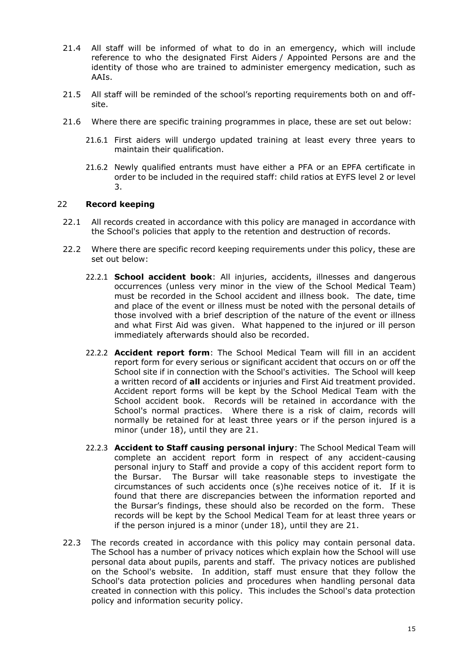- 21.4 All staff will be informed of what to do in an emergency, which will include reference to who the designated First Aiders / Appointed Persons are and the identity of those who are trained to administer emergency medication, such as AAIs.
- 21.5 All staff will be reminded of the school's reporting requirements both on and offsite.
- 21.6 Where there are specific training programmes in place, these are set out below:
	- 21.6.1 First aiders will undergo updated training at least every three years to maintain their qualification.
	- 21.6.2 Newly qualified entrants must have either a PFA or an EPFA certificate in order to be included in the required staff: child ratios at EYFS level 2 or level 3.

#### <span id="page-14-0"></span>22 **Record keeping**

- 22.1 All records created in accordance with this policy are managed in accordance with the School's policies that apply to the retention and destruction of records.
- 22.2 Where there are specific record keeping requirements under this policy, these are set out below:
	- 22.2.1 **School accident book**: All injuries, accidents, illnesses and dangerous occurrences (unless very minor in the view of the School Medical Team) must be recorded in the School accident and illness book. The date, time and place of the event or illness must be noted with the personal details of those involved with a brief description of the nature of the event or illness and what First Aid was given. What happened to the injured or ill person immediately afterwards should also be recorded.
	- 22.2.2 **Accident report form**: The School Medical Team will fill in an accident report form for every serious or significant accident that occurs on or off the School site if in connection with the School's activities. The School will keep a written record of **all** accidents or injuries and First Aid treatment provided. Accident report forms will be kept by the School Medical Team with the School accident book. Records will be retained in accordance with the School's normal practices. Where there is a risk of claim, records will normally be retained for at least three years or if the person injured is a minor (under 18), until they are 21.
	- 22.2.3 **Accident to Staff causing personal injury**: The School Medical Team will complete an accident report form in respect of any accident-causing personal injury to Staff and provide a copy of this accident report form to the Bursar. The Bursar will take reasonable steps to investigate the circumstances of such accidents once (s)he receives notice of it. If it is found that there are discrepancies between the information reported and the Bursar's findings, these should also be recorded on the form. These records will be kept by the School Medical Team for at least three years or if the person injured is a minor (under 18), until they are 21.
- 22.3 The records created in accordance with this policy may contain personal data. The School has a number of privacy notices which explain how the School will use personal data about pupils, parents and staff. The privacy notices are published on the School's website. In addition, staff must ensure that they follow the School's data protection policies and procedures when handling personal data created in connection with this policy. This includes the School's data protection policy and information security policy.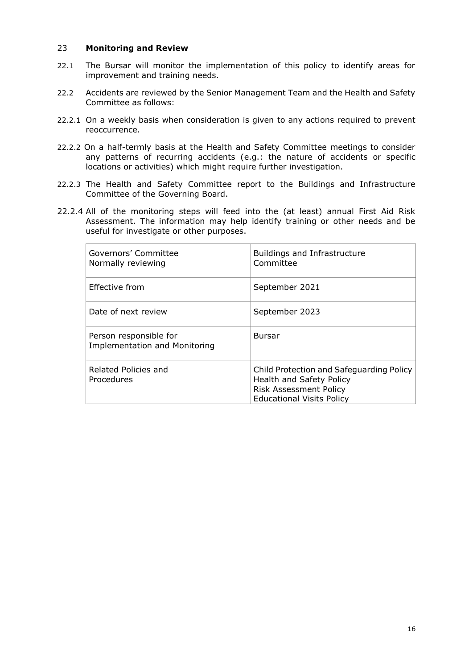#### <span id="page-15-0"></span>23 **Monitoring and Review**

- 22.1 The Bursar will monitor the implementation of this policy to identify areas for improvement and training needs.
- 22.2 Accidents are reviewed by the Senior Management Team and the Health and Safety Committee as follows:
- 22.2.1 On a weekly basis when consideration is given to any actions required to prevent reoccurrence.
- 22.2.2 On a half-termly basis at the Health and Safety Committee meetings to consider any patterns of recurring accidents (e.g.: the nature of accidents or specific locations or activities) which might require further investigation.
- 22.2.3 The Health and Safety Committee report to the Buildings and Infrastructure Committee of the Governing Board.
- 22.2.4 All of the monitoring steps will feed into the (at least) annual First Aid Risk Assessment. The information may help identify training or other needs and be useful for investigate or other purposes.

| Governors' Committee<br>Normally reviewing                     | <b>Buildings and Infrastructure</b><br>Committee                                                                                          |
|----------------------------------------------------------------|-------------------------------------------------------------------------------------------------------------------------------------------|
| Effective from                                                 | September 2021                                                                                                                            |
| Date of next review                                            | September 2023                                                                                                                            |
| Person responsible for<br><b>Implementation and Monitoring</b> | <b>Bursar</b>                                                                                                                             |
| Related Policies and<br>Procedures                             | Child Protection and Safeguarding Policy<br>Health and Safety Policy<br><b>Risk Assessment Policy</b><br><b>Educational Visits Policy</b> |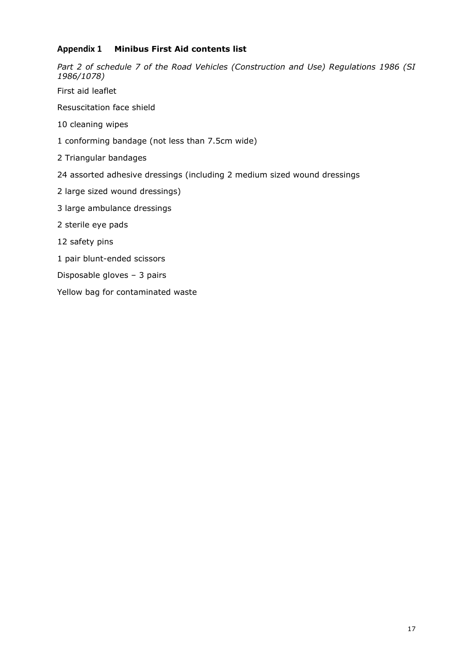#### <span id="page-16-0"></span>**Appendix 1 Minibus First Aid contents list**

*Part 2 of schedule 7 of the Road Vehicles (Construction and Use) Regulations 1986 (SI 1986/1078)*

First aid leaflet

Resuscitation face shield

10 cleaning wipes

1 conforming bandage (not less than 7.5cm wide)

2 Triangular bandages

24 assorted adhesive dressings (including 2 medium sized wound dressings

2 large sized wound dressings)

3 large ambulance dressings

2 sterile eye pads

12 safety pins

1 pair blunt-ended scissors

Disposable gloves – 3 pairs

Yellow bag for contaminated waste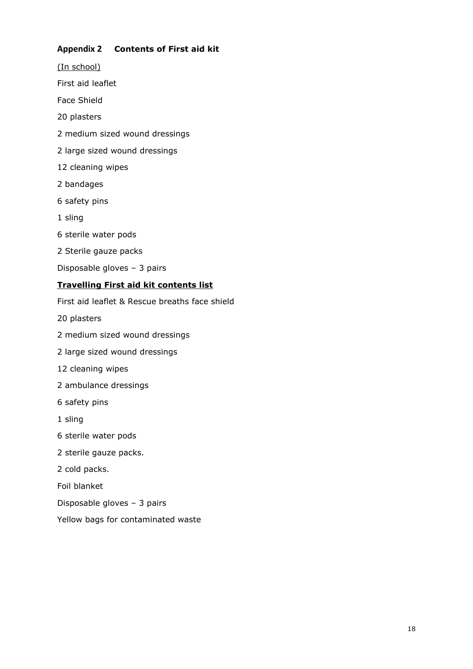#### <span id="page-17-0"></span>**Appendix 2 Contents of First aid kit**

(In school) First aid leaflet Face Shield 20 plasters 2 medium sized wound dressings 2 large sized wound dressings 12 cleaning wipes 2 bandages 6 safety pins 1 sling 6 sterile water pods 2 Sterile gauze packs Disposable gloves – 3 pairs **Travelling First aid kit contents list** First aid leaflet & Rescue breaths face shield 20 plasters 2 medium sized wound dressings 2 large sized wound dressings 12 cleaning wipes 2 ambulance dressings 6 safety pins

1 sling

- 6 sterile water pods
- 2 sterile gauze packs.
- 2 cold packs.

Foil blanket

- Disposable gloves 3 pairs
- Yellow bags for contaminated waste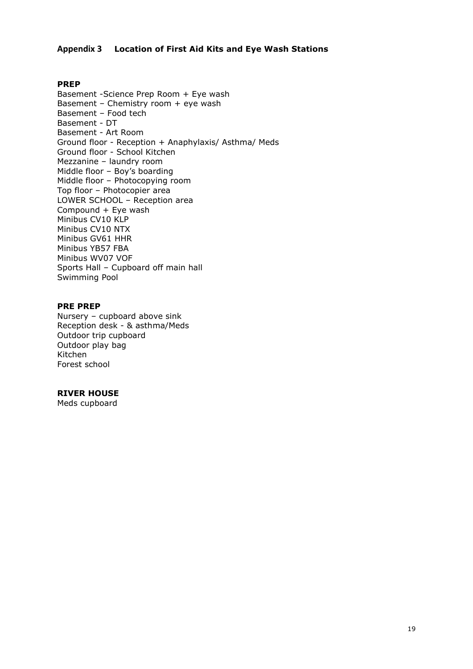#### <span id="page-18-0"></span>**Appendix 3 Location of First Aid Kits and Eye Wash Stations**

#### **PREP**

Basement -Science Prep Room + Eye wash Basement – Chemistry room + eye wash Basement – Food tech Basement - DT Basement - Art Room Ground floor - Reception + Anaphylaxis/ Asthma/ Meds Ground floor - School Kitchen Mezzanine – laundry room Middle floor – Boy's boarding Middle floor – Photocopying room Top floor – Photocopier area LOWER SCHOOL – Reception area Compound + Eye wash Minibus CV10 KLP Minibus CV10 NTX Minibus GV61 HHR Minibus YB57 FBA Minibus WV07 VOF Sports Hall – Cupboard off main hall Swimming Pool

#### **PRE PREP**

Nursery – cupboard above sink Reception desk - & asthma/Meds Outdoor trip cupboard Outdoor play bag Kitchen Forest school

#### **RIVER HOUSE**

Meds cupboard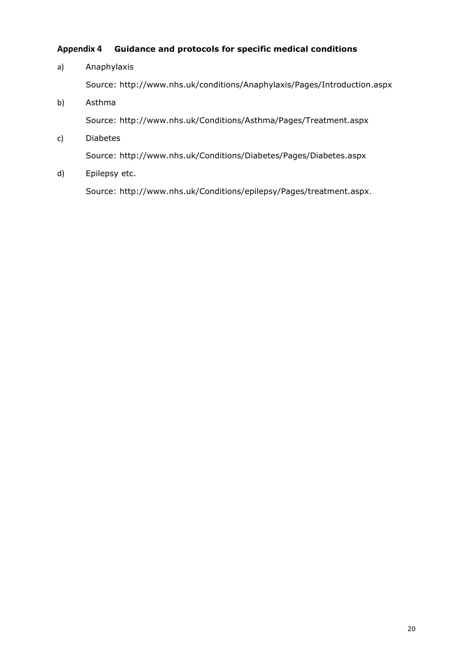#### <span id="page-19-0"></span>**Appendix 4 Guidance and protocols for specific medical conditions**

## a) Anaphylaxis Source:<http://www.nhs.uk/conditions/Anaphylaxis/Pages/Introduction.aspx> b) Asthma Source:<http://www.nhs.uk/Conditions/Asthma/Pages/Treatment.aspx> c) Diabetes

Source:<http://www.nhs.uk/Conditions/Diabetes/Pages/Diabetes.aspx>

d) Epilepsy etc.

Source:<http://www.nhs.uk/Conditions/epilepsy/Pages/treatment.aspx>.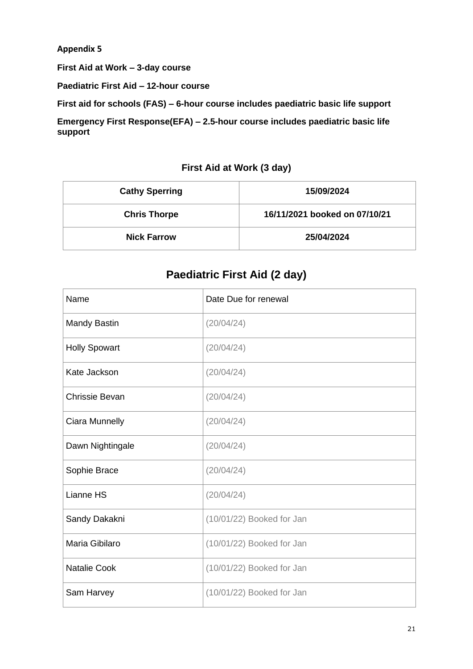**Appendix 5**

**First Aid at Work – 3-day course**

**Paediatric First Aid – 12-hour course** 

**First aid for schools (FAS) – 6-hour course includes paediatric basic life support**

**Emergency First Response(EFA) – 2.5-hour course includes paediatric basic life support**

#### **First Aid at Work (3 day)**

| <b>Cathy Sperring</b> | 15/09/2024                    |
|-----------------------|-------------------------------|
| <b>Chris Thorpe</b>   | 16/11/2021 booked on 07/10/21 |
| <b>Nick Farrow</b>    | 25/04/2024                    |

### **Paediatric First Aid (2 day)**

| Name                  | Date Due for renewal      |
|-----------------------|---------------------------|
| <b>Mandy Bastin</b>   | (20/04/24)                |
| <b>Holly Spowart</b>  | (20/04/24)                |
| Kate Jackson          | (20/04/24)                |
| <b>Chrissie Bevan</b> | (20/04/24)                |
| Ciara Munnelly        | (20/04/24)                |
| Dawn Nightingale      | (20/04/24)                |
| Sophie Brace          | (20/04/24)                |
| Lianne HS             | (20/04/24)                |
| Sandy Dakakni         | (10/01/22) Booked for Jan |
| Maria Gibilaro        | (10/01/22) Booked for Jan |
| <b>Natalie Cook</b>   | (10/01/22) Booked for Jan |
| Sam Harvey            | (10/01/22) Booked for Jan |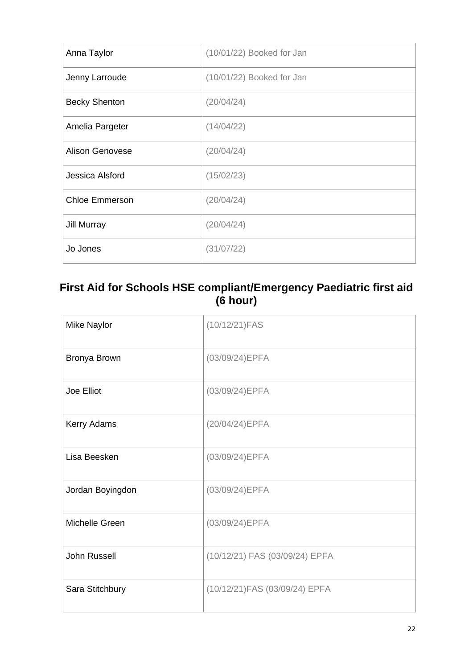| Anna Taylor            | (10/01/22) Booked for Jan |
|------------------------|---------------------------|
| Jenny Larroude         | (10/01/22) Booked for Jan |
| <b>Becky Shenton</b>   | (20/04/24)                |
| Amelia Pargeter        | (14/04/22)                |
| <b>Alison Genovese</b> | (20/04/24)                |
| Jessica Alsford        | (15/02/23)                |
| <b>Chloe Emmerson</b>  | (20/04/24)                |
| Jill Murray            | (20/04/24)                |
| Jo Jones               | (31/07/22)                |

### **First Aid for Schools HSE compliant/Emergency Paediatric first aid (6 hour)**

| <b>Mike Naylor</b> | (10/12/21)FAS                  |
|--------------------|--------------------------------|
| Bronya Brown       | (03/09/24)EPFA                 |
| Joe Elliot         | (03/09/24)EPFA                 |
| Kerry Adams        | (20/04/24) EPFA                |
| Lisa Beesken       | (03/09/24)EPFA                 |
| Jordan Boyingdon   | (03/09/24)EPFA                 |
| Michelle Green     | (03/09/24)EPFA                 |
| John Russell       | (10/12/21) FAS (03/09/24) EPFA |
| Sara Stitchbury    | (10/12/21) FAS (03/09/24) EPFA |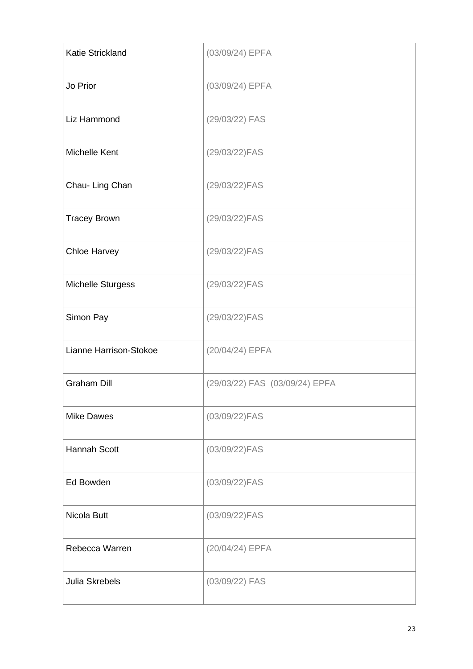| <b>Katie Strickland</b>  | (03/09/24) EPFA                |
|--------------------------|--------------------------------|
| Jo Prior                 | (03/09/24) EPFA                |
| Liz Hammond              | (29/03/22) FAS                 |
| Michelle Kent            | (29/03/22)FAS                  |
| Chau- Ling Chan          | (29/03/22)FAS                  |
| <b>Tracey Brown</b>      | (29/03/22)FAS                  |
| <b>Chloe Harvey</b>      | (29/03/22)FAS                  |
| <b>Michelle Sturgess</b> | (29/03/22)FAS                  |
| Simon Pay                | (29/03/22)FAS                  |
| Lianne Harrison-Stokoe   | (20/04/24) EPFA                |
| <b>Graham Dill</b>       | (29/03/22) FAS (03/09/24) EPFA |
| <b>Mike Dawes</b>        | (03/09/22)FAS                  |
| <b>Hannah Scott</b>      | (03/09/22)FAS                  |
| Ed Bowden                | (03/09/22)FAS                  |
| Nicola Butt              | (03/09/22)FAS                  |
| Rebecca Warren           | (20/04/24) EPFA                |
| <b>Julia Skrebels</b>    | (03/09/22) FAS                 |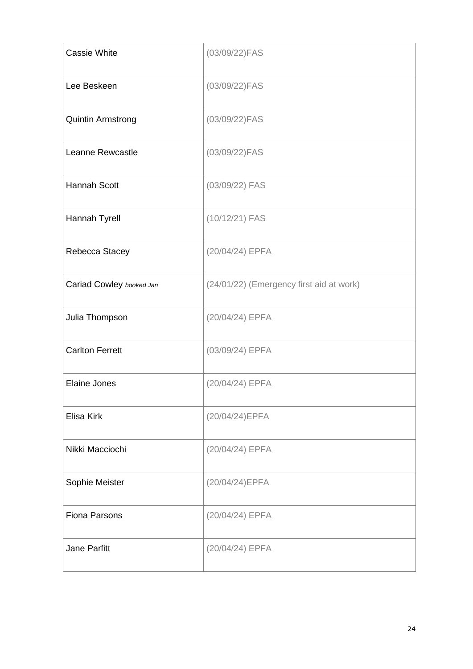| Cassie White             | (03/09/22)FAS                            |
|--------------------------|------------------------------------------|
| Lee Beskeen              | (03/09/22)FAS                            |
| <b>Quintin Armstrong</b> | (03/09/22)FAS                            |
| Leanne Rewcastle         | (03/09/22)FAS                            |
| <b>Hannah Scott</b>      | (03/09/22) FAS                           |
| Hannah Tyrell            | (10/12/21) FAS                           |
| Rebecca Stacey           | (20/04/24) EPFA                          |
| Cariad Cowley booked Jan | (24/01/22) (Emergency first aid at work) |
| Julia Thompson           | (20/04/24) EPFA                          |
| <b>Carlton Ferrett</b>   | (03/09/24) EPFA                          |
| <b>Elaine Jones</b>      | (20/04/24) EPFA                          |
| Elisa Kirk               | (20/04/24) EPFA                          |
| Nikki Macciochi          | (20/04/24) EPFA                          |
| Sophie Meister           | (20/04/24) EPFA                          |
| <b>Fiona Parsons</b>     | (20/04/24) EPFA                          |
| Jane Parfitt             | (20/04/24) EPFA                          |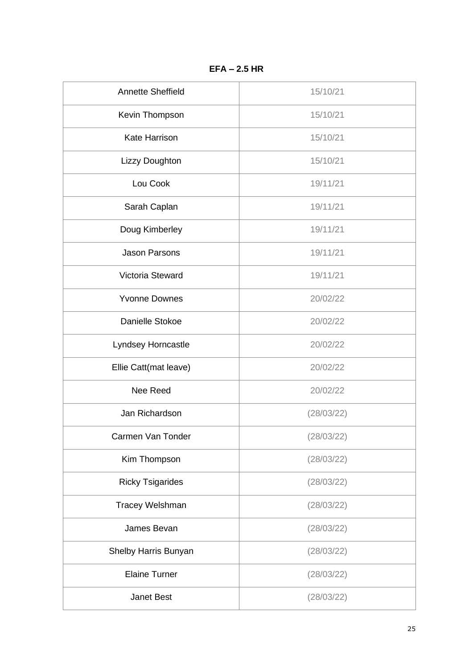| <b>Annette Sheffield</b> | 15/10/21   |
|--------------------------|------------|
| Kevin Thompson           | 15/10/21   |
| <b>Kate Harrison</b>     | 15/10/21   |
| Lizzy Doughton           | 15/10/21   |
| Lou Cook                 | 19/11/21   |
| Sarah Caplan             | 19/11/21   |
| Doug Kimberley           | 19/11/21   |
| <b>Jason Parsons</b>     | 19/11/21   |
| Victoria Steward         | 19/11/21   |
| <b>Yvonne Downes</b>     | 20/02/22   |
| Danielle Stokoe          | 20/02/22   |
| Lyndsey Horncastle       | 20/02/22   |
| Ellie Catt(mat leave)    | 20/02/22   |
| Nee Reed                 | 20/02/22   |
| Jan Richardson           | (28/03/22) |
| Carmen Van Tonder        | (28/03/22) |
| Kim Thompson             | (28/03/22) |
| <b>Ricky Tsigarides</b>  | (28/03/22) |
| Tracey Welshman          | (28/03/22) |
| James Bevan              | (28/03/22) |
| Shelby Harris Bunyan     | (28/03/22) |
| <b>Elaine Turner</b>     | (28/03/22) |
| <b>Janet Best</b>        | (28/03/22) |

**EFA – 2.5 HR**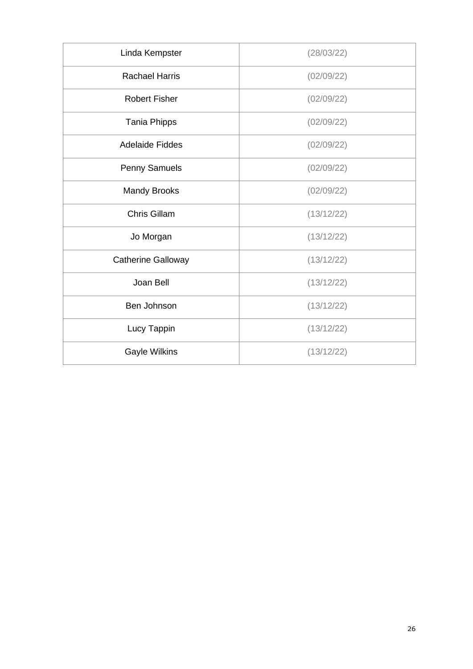| Linda Kempster            | (28/03/22) |
|---------------------------|------------|
| <b>Rachael Harris</b>     | (02/09/22) |
| <b>Robert Fisher</b>      | (02/09/22) |
| <b>Tania Phipps</b>       | (02/09/22) |
| <b>Adelaide Fiddes</b>    | (02/09/22) |
| <b>Penny Samuels</b>      | (02/09/22) |
| <b>Mandy Brooks</b>       | (02/09/22) |
| <b>Chris Gillam</b>       | (13/12/22) |
| Jo Morgan                 | (13/12/22) |
| <b>Catherine Galloway</b> | (13/12/22) |
| Joan Bell                 | (13/12/22) |
| Ben Johnson               | (13/12/22) |
| Lucy Tappin               | (13/12/22) |
| <b>Gayle Wilkins</b>      | (13/12/22) |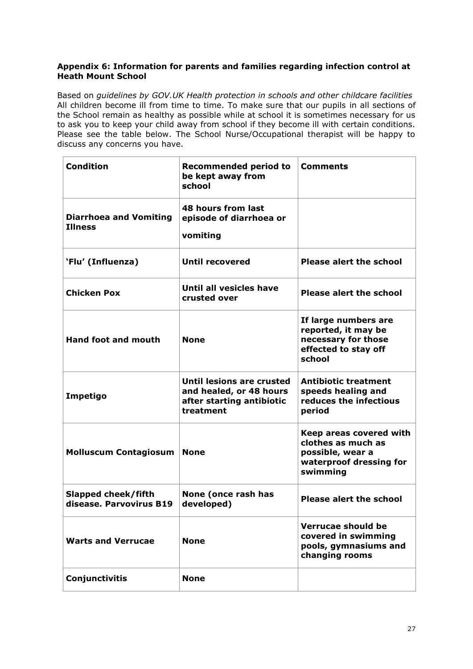#### **Appendix 6: Information for parents and families regarding infection control at Heath Mount School**

Based on *guidelines by GOV.UK Health protection in schools and other childcare facilities*  All children become ill from time to time. To make sure that our pupils in all sections of the School remain as healthy as possible while at school it is sometimes necessary for us to ask you to keep your child away from school if they become ill with certain conditions. Please see the table below. The School Nurse/Occupational therapist will be happy to discuss any concerns you have.

| <b>Condition</b>                                | <b>Recommended period to</b><br>be kept away from<br>school                                    | <b>Comments</b>                                                                                          |
|-------------------------------------------------|------------------------------------------------------------------------------------------------|----------------------------------------------------------------------------------------------------------|
| <b>Diarrhoea and Vomiting</b><br><b>Illness</b> | 48 hours from last<br>episode of diarrhoea or<br>vomiting                                      |                                                                                                          |
| 'Flu' (Influenza)                               | <b>Until recovered</b>                                                                         | <b>Please alert the school</b>                                                                           |
| <b>Chicken Pox</b>                              | Until all vesicles have<br>crusted over                                                        | <b>Please alert the school</b>                                                                           |
| <b>Hand foot and mouth</b>                      | <b>None</b>                                                                                    | If large numbers are<br>reported, it may be<br>necessary for those<br>effected to stay off<br>school     |
| Impetigo                                        | Until lesions are crusted<br>and healed, or 48 hours<br>after starting antibiotic<br>treatment | <b>Antibiotic treatment</b><br>speeds healing and<br>reduces the infectious<br>period                    |
| <b>Molluscum Contagiosum</b>                    | <b>None</b>                                                                                    | Keep areas covered with<br>clothes as much as<br>possible, wear a<br>waterproof dressing for<br>swimming |
| Slapped cheek/fifth<br>disease. Parvovirus B19  | None (once rash has<br>developed)                                                              | Please alert the school                                                                                  |
| <b>Warts and Verrucae</b>                       | <b>None</b>                                                                                    | Verrucae should be<br>covered in swimming<br>pools, gymnasiums and<br>changing rooms                     |
| Conjunctivitis                                  | <b>None</b>                                                                                    |                                                                                                          |